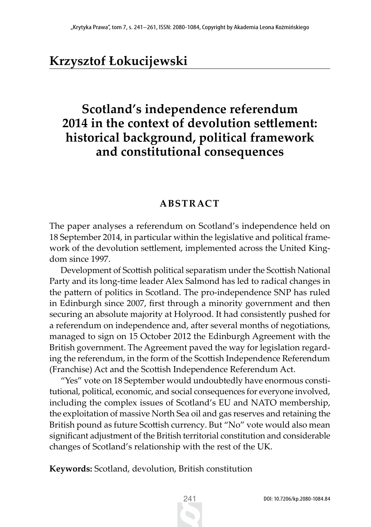# **Krzysztof Łokucijewski**

## **Scotland's independence referendum 2014 in the context of devolution settlement: historical background, political framework and constitutional consequences**

### **ABSTRACT**

The paper analyses a referendum on Scotland's independence held on 18 September 2014, in particular within the legislative and political framework of the devolution settlement, implemented across the United Kingdom since 1997.

Development of Scottish political separatism under the Scottish National Party and its long-time leader Alex Salmond has led to radical changes in the pattern of politics in Scotland. The pro-independence SNP has ruled in Edinburgh since 2007, first through a minority government and then securing an absolute majority at Holyrood. It had consistently pushed for a referendum on independence and, after several months of negotiations, managed to sign on 15 October 2012 the Edinburgh Agreement with the British government. The Agreement paved the way for legislation regarding the referendum, in the form of the Scottish Independence Referendum (Franchise) Act and the Scottish Independence Referendum Act.

"Yes" vote on 18 September would undoubtedly have enormous constitutional, political, economic, and social consequences for everyone involved, including the complex issues of Scotland's EU and NATO membership, the exploitation of massive North Sea oil and gas reserves and retaining the British pound as future Scottish currency. But "No" vote would also mean significant adjustment of the British territorial constitution and considerable changes of Scotland's relationship with the rest of the UK.

**Keywords:** Scotland, devolution, British constitution

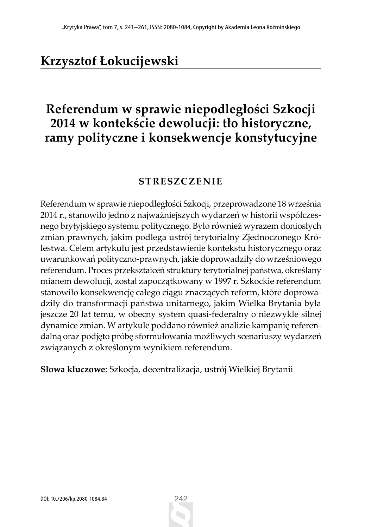# **Krzysztof Łokucijewski**

## **Referendum w sprawie niepodległości Szkocji 2014 w kontekście dewolucji: tło historyczne, ramy polityczne i konsekwencje konstytucyjne**

### **STRESZCZENIE**

Referendum w sprawie niepodległości Szkocji, przeprowadzone 18 września 2014 r., stanowiło jedno z najważniejszych wydarzeń w historii współczesnego brytyjskiego systemu politycznego. Było również wyrazem doniosłych zmian prawnych, jakim podlega ustrój terytorialny Zjednoczonego Królestwa. Celem artykułu jest przedstawienie kontekstu historycznego oraz uwarunkowań polityczno-prawnych, jakie doprowadziły do wrześniowego referendum. Proces przekształceń struktury terytorialnej państwa, określany mianem dewolucji, został zapoczątkowany w 1997 r. Szkockie referendum stanowiło konsekwencję całego ciągu znaczących reform, które doprowadziły do transformacji państwa unitarnego, jakim Wielka Brytania była jeszcze 20 lat temu, w obecny system quasi-federalny o niezwykle silnej dynamice zmian. W artykule poddano również analizie kampanię referendalną oraz podjęto próbę sformułowania możliwych scenariuszy wydarzeń związanych z określonym wynikiem referendum.

**Słowa kluczowe**: Szkocja, decentralizacja, ustrój Wielkiej Brytanii

242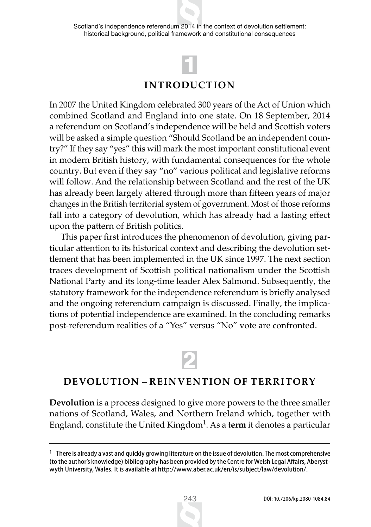Scotland's independence referendum 2014 in the context of devolution settlement: historical background, political framework and constitutional consequences



## **INTRODUCTION**

In 2007 the United Kingdom celebrated 300 years of the Act of Union which combined Scotland and England into one state. On 18 September, 2014 a referendum on Scotland's independence will be held and Scottish voters will be asked a simple question "Should Scotland be an independent country?" If they say "yes" this will mark the most important constitutional event in modern British history, with fundamental consequences for the whole country. But even if they say "no" various political and legislative reforms will follow. And the relationship between Scotland and the rest of the UK has already been largely altered through more than fifteen years of major changes in the British territorial system of government. Most of those reforms fall into a category of devolution, which has already had a lasting effect upon the pattern of British politics.

This paper first introduces the phenomenon of devolution, giving particular attention to its historical context and describing the devolution settlement that has been implemented in the UK since 1997. The next section traces development of Scottish political nationalism under the Scottish National Party and its long-time leader Alex Salmond. Subsequently, the statutory framework for the independence referendum is briefly analysed and the ongoing referendum campaign is discussed. Finally, the implications of potential independence are examined. In the concluding remarks post-referendum realities of a "Yes" versus "No" vote are confronted.



### **DEVOLUTION – REINVENTION OF TERRITORY**

**Devolution** is a process designed to give more powers to the three smaller nations of Scotland, Wales, and Northern Ireland which, together with England, constitute the United Kingdom1. As a **term** it denotes a particular



 $1$  There is already a vast and quickly growing literature on the issue of devolution. The most comprehensive (to the author's knowledge) bibliography has been provided by the Centre for Welsh Legal Affairs, Aberystwyth University, Wales. It is available at http://www.aber.ac.uk/en/is/subject/law/devolution/.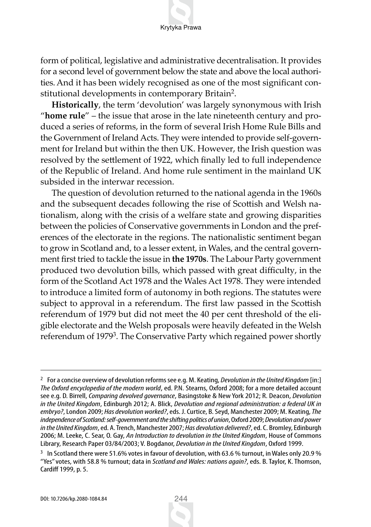form of political, legislative and administrative decentralisation. It provides for a second level of government below the state and above the local authorities. And it has been widely recognised as one of the most significant constitutional developments in contemporary Britain2.

**Historically**, the term 'devolution' was largely synonymous with Irish "**home rule**" – the issue that arose in the late nineteenth century and produced a series of reforms, in the form of several Irish Home Rule Bills and the Government of Ireland Acts. They were intended to provide self-government for Ireland but within the then UK. However, the Irish question was resolved by the settlement of 1922, which finally led to full independence of the Republic of Ireland. And home rule sentiment in the mainland UK subsided in the interwar recession.

The question of devolution returned to the national agenda in the 1960s and the subsequent decades following the rise of Scottish and Welsh nationalism, along with the crisis of a welfare state and growing disparities between the policies of Conservative governments in London and the preferences of the electorate in the regions. The nationalistic sentiment began to grow in Scotland and, to a lesser extent, in Wales, and the central government first tried to tackle the issue in **the 1970s**. The Labour Party government produced two devolution bills, which passed with great difficulty, in the form of the Scotland Act 1978 and the Wales Act 1978. They were intended to introduce a limited form of autonomy in both regions. The statutes were subject to approval in a referendum. The first law passed in the Scottish referendum of 1979 but did not meet the 40 per cent threshold of the eligible electorate and the Welsh proposals were heavily defeated in the Welsh referendum of 1979<sup>3</sup>. The Conservative Party which regained power shortly

<sup>2</sup> For a concise overview of devolution reforms see e.g. M. Keating, *Devolution in the United Kingdom* [in:] *The Oxford encyclopedia of the modern world*, ed. P.N. Stearns, Oxford 2008; for a more detailed account see e.g. D. Birrell, *Comparing devolved governance*, Basingstoke & New York 2012; R. Deacon, *Devolution in the United Kingdom*, Edinburgh 2012; A. Blick, *Devolution and regional administration: a federal UK in embryo?*, London 2009; *Has devolution worked?*, eds. J. Curtice, B. Seyd, Manchester 2009; M. Keating, *The independence of Scotland: self-government and the shifting politics of union*, Oxford 2009; *Devolution and power in the United Kingdom*, ed. A. Trench, Manchester 2007; *Has devolution delivered?*, ed. C. Bromley, Edinburgh 2006; M. Leeke, C. Sear, O. Gay, *An Introduction to devolution in the United Kingdom*, House of Commons Library, Research Paper 03/84/2003; V. Bogdanor, *Devolution in the United Kingdom*, Oxford 1999.

 $3$  In Scotland there were 51.6% votes in favour of devolution, with 63.6 % turnout, in Wales only 20.9 % "Yes" votes, with 58.8 % turnout; data in *Scotland and Wales: nations again?*, eds. B. Taylor, K. Thomson, Cardiff 1999, p. 5.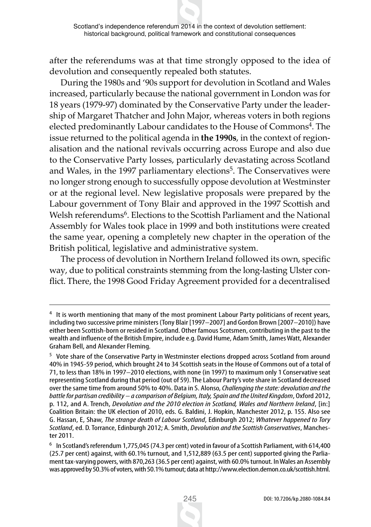after the referendums was at that time strongly opposed to the idea of devolution and consequently repealed both statutes.

During the 1980s and '90s support for devolution in Scotland and Wales increased, particularly because the national government in London was for 18 years (1979-97) dominated by the Conservative Party under the leadership of Margaret Thatcher and John Major, whereas voters in both regions elected predominantly Labour candidates to the House of Commons<sup>4</sup>. The issue returned to the political agenda in **the 1990s**, in the context of regionalisation and the national revivals occurring across Europe and also due to the Conservative Party losses, particularly devastating across Scotland and Wales, in the 1997 parliamentary elections<sup>5</sup>. The Conservatives were no longer strong enough to successfully oppose devolution at Westminster or at the regional level. New legislative proposals were prepared by the Labour government of Tony Blair and approved in the 1997 Scottish and Welsh referendums<sup>6</sup>. Elections to the Scottish Parliament and the National Assembly for Wales took place in 1999 and both institutions were created the same year, opening a completely new chapter in the operation of the British political, legislative and administrative system.

The process of devolution in Northern Ireland followed its own, specific way, due to political constraints stemming from the long-lasting Ulster conflict. There, the 1998 Good Friday Agreement provided for a decentralised

It is worth mentioning that many of the most prominent Labour Party politicians of recent years, including two successive prime ministers (Tony Blair [1997–2007] and Gordon Brown [2007–2010]) have either been Scottish-born or resided in Scotland. Other famous Scotsmen, contributing in the past to the wealth and influence of the British Empire, include e.g. David Hume, Adam Smith, James Watt, Alexander Graham Bell, and Alexander Fleming.

<sup>5</sup> Vote share of the Conservative Party in Westminster elections dropped across Scotland from around 40% in 1945-59 period, which brought 24 to 34 Scottish seats in the House of Commons out of a total of 71, to less than 18% in 1997–2010 elections, with none (in 1997) to maximum only 1 Conservative seat representing Scotland during that period (out of 59). The Labour Party's vote share in Scotland decreased over the same time from around 50% to 40%. Data in S. Alonso, *Challenging the state: devolution and the battle for partisan credibility – a comparison of Belgium, Italy, Spain and the United Kingdom*, Oxford 2012, p. 112, and A. Trench, *Devolution and the 2010 election in Scotland, Wales and Northern Ireland*, [in:] Coalition Britain: the UK election of 2010, eds. G. Baldini, J. Hopkin, Manchester 2012, p. 155. Also see G. Hassan, E, Shaw, *The strange death of Labour Scotland*, Edinburgh 2012; *Whatever happened to Tory Scotland*, ed. D. Torrance, Edinburgh 2012; A. Smith, *Devolution and the Scottish Conservatives*, Manchester 2011.

<sup>6</sup> In Scotland's referendum 1,775,045 (74.3 per cent) voted in favour of a Scottish Parliament, with 614,400 (25.7 per cent) against, with 60.1% turnout, and 1,512,889 (63.5 per cent) supported giving the Parliament tax-varying powers, with 870,263 (36.5 per cent) against, with 60.0% turnout. In Wales an Assembly was approved by 50.3% of voters, with 50.1% turnout; data at http://www.election.demon.co.uk/scottish.html.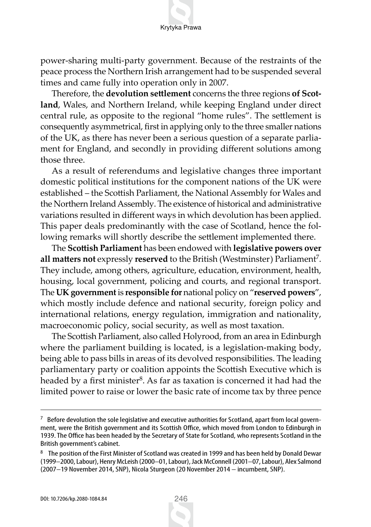power-sharing multi-party government. Because of the restraints of the peace process the Northern Irish arrangement had to be suspended several times and came fully into operation only in 2007.

Therefore, the **devolution settlement** concerns the three regions **of Scotland**, Wales, and Northern Ireland, while keeping England under direct central rule, as opposite to the regional "home rules". The settlement is consequently asymmetrical, first in applying only to the three smaller nations of the UK, as there has never been a serious question of a separate parliament for England, and secondly in providing different solutions among those three.

As a result of referendums and legislative changes three important domestic political institutions for the component nations of the UK were established – the Scottish Parliament, the National Assembly for Wales and the Northern Ireland Assembly. The existence of historical and administrative variations resulted in different ways in which devolution has been applied. This paper deals predominantly with the case of Scotland, hence the following remarks will shortly describe the settlement implemented there.

The **Scottish Parliament** has been endowed with **legislative powers over** all matters not expressly reserved to the British (Westminster) Parliament<sup>7</sup>. They include, among others, agriculture, education, environment, health, housing, local government, policing and courts, and regional transport. The **UK government** is **responsible for** national policy on "**reserved powers**", which mostly include defence and national security, foreign policy and international relations, energy regulation, immigration and nationality, macroeconomic policy, social security, as well as most taxation.

The Scottish Parliament, also called Holyrood, from an area in Edinburgh where the parliament building is located, is a legislation-making body, being able to pass bills in areas of its devolved responsibilities. The leading parliamentary party or coalition appoints the Scottish Executive which is headed by a first minister $8$ . As far as taxation is concerned it had had the limited power to raise or lower the basic rate of income tax by three pence

 $7$  Before devolution the sole legislative and executive authorities for Scotland, apart from local government, were the British government and its Scottish Office, which moved from London to Edinburgh in 1939. The Office has been headed by the Secretary of State for Scotland, who represents Scotland in the British government's cabinet.

<sup>8</sup> The position of the First Minister of Scotland was created in 1999 and has been held by Donald Dewar (1999–2000, Labour), Henry McLeish (2000–01, Labour), Jack McConnell (2001–07, Labour), Alex Salmond (2007–19 November 2014, SNP), Nicola Sturgeon (20 November 2014 – incumbent, SNP).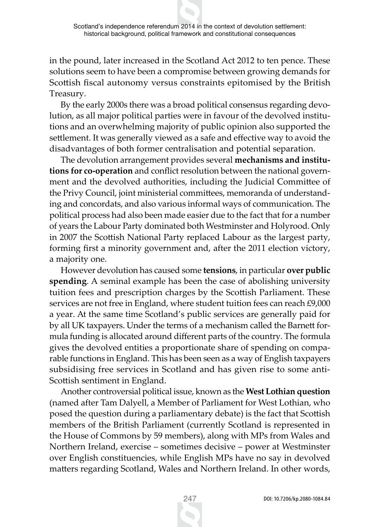in the pound, later increased in the Scotland Act 2012 to ten pence. These solutions seem to have been a compromise between growing demands for Scottish fiscal autonomy versus constraints epitomised by the British Treasury.

By the early 2000s there was a broad political consensus regarding devolution, as all major political parties were in favour of the devolved institutions and an overwhelming majority of public opinion also supported the settlement. It was generally viewed as a safe and effective way to avoid the disadvantages of both former centralisation and potential separation.

The devolution arrangement provides several **mechanisms and institutions for co-operation** and conflict resolution between the national government and the devolved authorities, including the Judicial Committee of the Privy Council, joint ministerial committees, memoranda of understanding and concordats, and also various informal ways of communication. The political process had also been made easier due to the fact that for a number of years the Labour Party dominated both Westminster and Holyrood. Only in 2007 the Scottish National Party replaced Labour as the largest party, forming first a minority government and, after the 2011 election victory, a majority one.

However devolution has caused some **tensions**, in particular **over public spending**. A seminal example has been the case of abolishing university tuition fees and prescription charges by the Scottish Parliament. These services are not free in England, where student tuition fees can reach £9,000 a year. At the same time Scotland's public services are generally paid for by all UK taxpayers. Under the terms of a mechanism called the Barnett formula funding is allocated around different parts of the country. The formula gives the devolved entities a proportionate share of spending on comparable functions in England. This has been seen as a way of English taxpayers subsidising free services in Scotland and has given rise to some anti-Scottish sentiment in England.

Another controversial political issue, known as the **West Lothian question** (named after Tam Dalyell, a Member of Parliament for West Lothian, who posed the question during a parliamentary debate) is the fact that Scottish members of the British Parliament (currently Scotland is represented in the House of Commons by 59 members), along with MPs from Wales and Northern Ireland, exercise – sometimes decisive – power at Westminster over English constituencies, while English MPs have no say in devolved matters regarding Scotland, Wales and Northern Ireland. In other words,

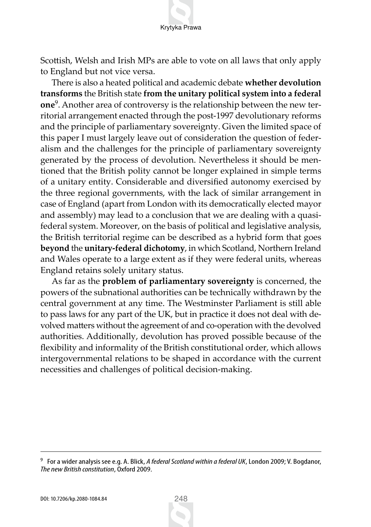Scottish, Welsh and Irish MPs are able to vote on all laws that only apply to England but not vice versa.

There is also a heated political and academic debate **whether devolution transforms** the British state **from the unitary political system into a federal one**9. Another area of controversy is the relationship between the new territorial arrangement enacted through the post-1997 devolutionary reforms and the principle of parliamentary sovereignty. Given the limited space of this paper I must largely leave out of consideration the question of federalism and the challenges for the principle of parliamentary sovereignty generated by the process of devolution. Nevertheless it should be mentioned that the British polity cannot be longer explained in simple terms of a unitary entity. Considerable and diversified autonomy exercised by the three regional governments, with the lack of similar arrangement in case of England (apart from London with its democratically elected mayor and assembly) may lead to a conclusion that we are dealing with a quasifederal system. Moreover, on the basis of political and legislative analysis, the British territorial regime can be described as a hybrid form that goes **beyond** the **unitary-federal dichotomy**, in which Scotland, Northern Ireland and Wales operate to a large extent as if they were federal units, whereas England retains solely unitary status.

As far as the **problem of parliamentary sovereignty** is concerned, the powers of the subnational authorities can be technically withdrawn by the central government at any time. The Westminster Parliament is still able to pass laws for any part of the UK, but in practice it does not deal with devolved matters without the agreement of and co-operation with the devolved authorities. Additionally, devolution has proved possible because of the flexibility and informality of the British constitutional order, which allows intergovernmental relations to be shaped in accordance with the current necessities and challenges of political decision-making.



<sup>9</sup> For a wider analysis see e.g. A. Blick, *A federal Scotland within a federal UK*, London 2009; V. Bogdanor, *The new British constitution*, Oxford 2009.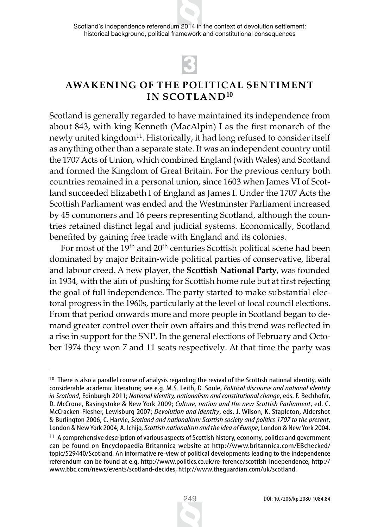Scotland's independence referendum 2014 in the context of devolution settlement: historical background, political framework and constitutional consequences

# 3

## **AWAKENING OF THE POLITICAL SENTIMENT IN SCOTLAND10**

Scotland is generally regarded to have maintained its independence from about 843, with king Kenneth (MacAlpin) I as the first monarch of the newly united kingdom<sup>11</sup>. Historically, it had long refused to consider itself as anything other than a separate state. It was an independent country until the 1707 Acts of Union, which combined England (with Wales) and Scotland and formed the Kingdom of Great Britain. For the previous century both countries remained in a personal union, since 1603 when James VI of Scotland succeeded Elizabeth I of England as James I. Under the 1707 Acts the Scottish Parliament was ended and the Westminster Parliament increased by 45 commoners and 16 peers representing Scotland, although the countries retained distinct legal and judicial systems. Economically, Scotland benefited by gaining free trade with England and its colonies.

For most of the 19th and 20th centuries Scottish political scene had been dominated by major Britain-wide political parties of conservative, liberal and labour creed. A new player, the **Scottish National Party**, was founded in 1934, with the aim of pushing for Scottish home rule but at first rejecting the goal of full independence. The party started to make substantial electoral progress in the 1960s, particularly at the level of local council elections. From that period onwards more and more people in Scotland began to demand greater control over their own affairs and this trend was reflected in a rise in support for the SNP. In the general elections of February and October 1974 they won 7 and 11 seats respectively. At that time the party was



<sup>&</sup>lt;sup>10</sup> There is also a parallel course of analysis regarding the revival of the Scottish national identity, with considerable academic literature; see e.g. M.S. Leith, D. Soule, *Political discourse and national identity in Scotland*, Edinburgh 2011; *National identity, nationalism and constitutional change*, eds. F. Bechhofer, D. McCrone, Basingstoke & New York 2009; *Culture, nation and the new Scottish Parliament*, ed. C. McCracken-Flesher, Lewisburg 2007; *Devolution and identity*, eds. J. Wilson, K. Stapleton, Aldershot & Burlington 2006; C. Harvie, *Scotland and nationalism: Scottish society and politics 1707 to the present*, London & New York 2004; A. Ichijo, *Scottish nationalism and the idea of Europe*, London & New York 2004.

<sup>&</sup>lt;sup>11</sup> A comprehensive description of various aspects of Scottish history, economy, politics and government can be found on Encyclopaedia Britannica website at http://www.britannica.com/EBchecked/ topic/529440/Scotland. An informative re-view of political developments leading to the independence referendum can be found at e.g. http://www.politics.co.uk/re-ference/scottish-independence, http:// www.bbc.com/news/events/scotland-decides, http://www.theguardian.com/uk/scotland.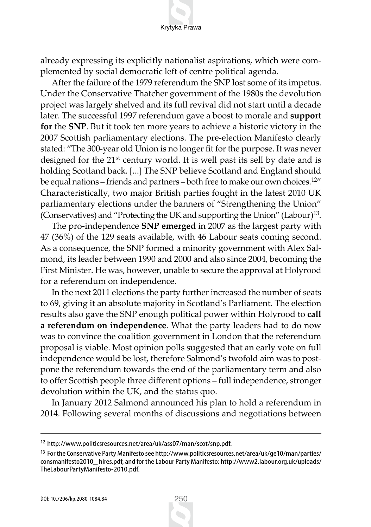already expressing its explicitly nationalist aspirations, which were complemented by social democratic left of centre political agenda.

After the failure of the 1979 referendum the SNP lost some of its impetus. Under the Conservative Thatcher government of the 1980s the devolution project was largely shelved and its full revival did not start until a decade later. The successful 1997 referendum gave a boost to morale and **support for** the **SNP**. But it took ten more years to achieve a historic victory in the 2007 Scottish parliamentary elections. The pre-election Manifesto clearly stated: "The 300-year old Union is no longer fit for the purpose. It was never designed for the 21<sup>st</sup> century world. It is well past its sell by date and is holding Scotland back. [...] The SNP believe Scotland and England should be equal nations – friends and partners – both free to make our own choices.<sup>12</sup>" Characteristically, two major British parties fought in the latest 2010 UK parliamentary elections under the banners of "Strengthening the Union" (Conservatives) and "Protecting the UK and supporting the Union" (Labour)13.

The pro-independence **SNP emerged** in 2007 as the largest party with 47 (36%) of the 129 seats available, with 46 Labour seats coming second. As a consequence, the SNP formed a minority government with Alex Salmond, its leader between 1990 and 2000 and also since 2004, becoming the First Minister. He was, however, unable to secure the approval at Holyrood for a referendum on independence.

In the next 2011 elections the party further increased the number of seats to 69, giving it an absolute majority in Scotland's Parliament. The election results also gave the SNP enough political power within Holyrood to **call a referendum on independence**. What the party leaders had to do now was to convince the coalition government in London that the referendum proposal is viable. Most opinion polls suggested that an early vote on full independence would be lost, therefore Salmond's twofold aim was to postpone the referendum towards the end of the parliamentary term and also to offer Scottish people three different options – full independence, stronger devolution within the UK, and the status quo.

In January 2012 Salmond announced his plan to hold a referendum in 2014. Following several months of discussions and negotiations between

<sup>12</sup> http://www.politicsresources.net/area/uk/ass07/man/scot/snp.pdf.

<sup>&</sup>lt;sup>13</sup> For the Conservative Party Manifesto see http://www.politicsresources.net/area/uk/ge10/man/parties/ consmanifesto2010\_ hires.pdf, and for the Labour Party Manifesto: http://www2.labour.org.uk/uploads/ TheLabourPartyManifesto-2010.pdf.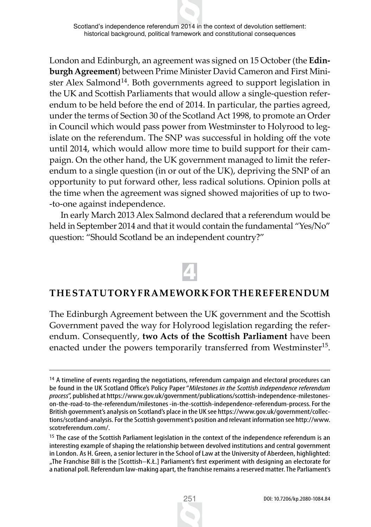Scotland's independence referendum 2014 in the context of devolution settlement: historical background, political framework and constitutional consequences

London and Edinburgh, an agreement was signed on 15 October (the **Edinburgh Agreement**) between Prime Minister David Cameron and First Minister Alex Salmond<sup>14</sup>. Both governments agreed to support legislation in the UK and Scottish Parliaments that would allow a single-question referendum to be held before the end of 2014. In particular, the parties agreed, under the terms of Section 30 of the Scotland Act 1998, to promote an Order in Council which would pass power from Westminster to Holyrood to legislate on the referendum. The SNP was successful in holding off the vote until 2014, which would allow more time to build support for their campaign. On the other hand, the UK government managed to limit the referendum to a single question (in or out of the UK), depriving the SNP of an opportunity to put forward other, less radical solutions. Opinion polls at the time when the agreement was signed showed majorities of up to two- -to-one against independence.

In early March 2013 Alex Salmond declared that a referendum would be held in September 2014 and that it would contain the fundamental "Yes/No" question: "Should Scotland be an independent country?"

# 4

#### **THE STATUTORY FRAMEWORK FOR THE REFERENDUM**

The Edinburgh Agreement between the UK government and the Scottish Government paved the way for Holyrood legislation regarding the referendum. Consequently, **two Acts of the Scottish Parliament** have been enacted under the powers temporarily transferred from Westminster<sup>15</sup>.



<sup>&</sup>lt;sup>14</sup> A timeline of events regarding the negotiations, referendum campaign and electoral procedures can be found in the UK Scotland Office's Policy Paper "*Milestones in the Scottish independence referendum process*", published at https://www.gov.uk/government/publications/scottish-independence-milestoneson-the-road-to-the-referendum/milestones -in-the-scottish-independence-referendum-process. For the British government's analysis on Scotland's place in the UK see https://www.gov.uk/government/collections/scotland-analysis. For the Scottish government's position and relevant information see http://www. scotreferendum.com/.

<sup>&</sup>lt;sup>15</sup> The case of the Scottish Parliament legislation in the context of the independence referendum is an interesting example of shaping the relationship between devolved institutions and central government in London. As H. Green, a senior lecturer in the School of Law at the University of Aberdeen, highlighted: "The Franchise Bill is the [Scottish–K.Ł.] Parliament's first experiment with designing an electorate for a national poll. Referendum law-making apart, the franchise remains a reserved matter. The Parliament's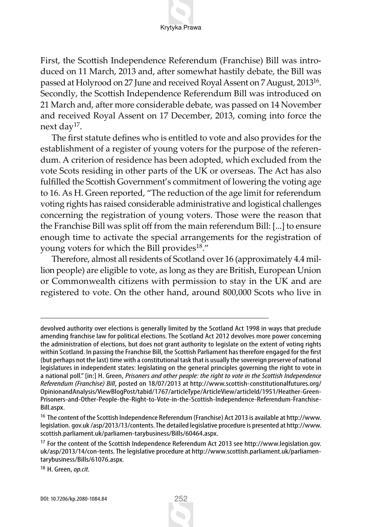First, the Scottish Independence Referendum (Franchise) Bill was introduced on 11 March, 2013 and, after somewhat hastily debate, the Bill was passed at Holyrood on 27 June and received Royal Assent on 7 August, 201316. Secondly, the Scottish Independence Referendum Bill was introduced on 21 March and, after more considerable debate, was passed on 14 November and received Royal Assent on 17 December, 2013, coming into force the next day<sup>17</sup>.

The first statute defines who is entitled to vote and also provides for the establishment of a register of young voters for the purpose of the referendum. A criterion of residence has been adopted, which excluded from the vote Scots residing in other parts of the UK or overseas. The Act has also fulfilled the Scottish Government's commitment of lowering the voting age to 16. As H. Green reported, "The reduction of the age limit for referendum voting rights has raised considerable administrative and logistical challenges concerning the registration of young voters. Those were the reason that the Franchise Bill was split off from the main referendum Bill: [...] to ensure enough time to activate the special arrangements for the registration of young voters for which the Bill provides<sup>18</sup>."

Therefore, almost all residents of Scotland over 16 (approximately 4.4 million people) are eligible to vote, as long as they are British, European Union or Commonwealth citizens with permission to stay in the UK and are registered to vote. On the other hand, around 800,000 Scots who live in

<sup>18</sup> H. Green, *op.cit.*

devolved authority over elections is generally limited by the Scotland Act 1998 in ways that preclude amending franchise law for political elections. The Scotland Act 2012 devolves more power concerning the administration of elections, but does not grant authority to legislate on the extent of voting rights within Scotland. In passing the Franchise Bill, the Scottish Parliament has therefore engaged for the first (but perhaps not the last) time with a constitutional task that is usually the sovereign preserve of national legislatures in independent states: legislating on the general principles governing the right to vote in a national poll." [in:] H. Green, *Prisoners and other people: the right to vote in the Scottish Independence Referendum (Franchise) Bill*, posted on 18/07/2013 at http://www.scottish-constitutionalfutures.org/ OpinionandAnalysis/ViewBlogPost/tabid/1767/articleType/ArticleView/articleId/1951/Heather-Green-Prisoners-and-Other-People-the-Right-to-Vote-in-the-Scottish-Independence-Referendum-Franchise-Bill.aspx.

<sup>16</sup> The content of the Scottish Independence Referendum (Franchise) Act 2013 is available at http://www. legislation. gov.uk /asp/2013/13/contents. The detailed legislative procedure is presented at http://www. scottish.parliament.uk/parliamen-tarybusiness/Bills/60464.aspx.

<sup>17</sup> For the content of the Scottish Independence Referendum Act 2013 see http://www.legislation.gov. uk/asp/2013/14/con-tents. The legislative procedure at http://www.scottish.parliament.uk/parliamentarybusiness/Bills/61076.aspx.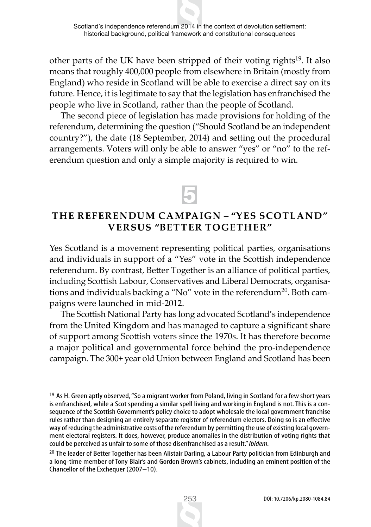other parts of the UK have been stripped of their voting rights<sup>19</sup>. It also means that roughly 400,000 people from elsewhere in Britain (mostly from England) who reside in Scotland will be able to exercise a direct say on its future. Hence, it is legitimate to say that the legislation has enfranchised the people who live in Scotland, rather than the people of Scotland.

The second piece of legislation has made provisions for holding of the referendum, determining the question ("Should Scotland be an independent country?"), the date (18 September, 2014) and setting out the procedural arrangements. Voters will only be able to answer "yes" or "no" to the referendum question and only a simple majority is required to win.

# 5

### **THE REFERENDUM CAMPAIGN – "YES SCOTLAND" VERSUS "BETTER TOGETHER"**

Yes Scotland is a movement representing political parties, organisations and individuals in support of a "Yes" vote in the Scottish independence referendum. By contrast, Better Together is an alliance of political parties, including Scottish Labour, Conservatives and Liberal Democrats, organisations and individuals backing a "No" vote in the referendum<sup>20</sup>. Both campaigns were launched in mid-2012.

The Scottish National Party has long advocated Scotland's independence from the United Kingdom and has managed to capture a significant share of support among Scottish voters since the 1970s. It has therefore become a major political and governmental force behind the pro-independence campaign. The 300+ year old Union between England and Scotland has been

<sup>&</sup>lt;sup>19</sup> As H. Green aptly observed, "So a migrant worker from Poland, living in Scotland for a few short years is enfranchised, while a Scot spending a similar spell living and working in England is not. This is a consequence of the Scottish Government's policy choice to adopt wholesale the local government franchise rules rather than designing an entirely separate register of referendum electors. Doing so is an effective way of reducing the administrative costs of the referendum by permitting the use of existing local government electoral registers. It does, however, produce anomalies in the distribution of voting rights that could be perceived as unfair to some of those disenfranchised as a result." *Ibidem.*

<sup>&</sup>lt;sup>20</sup> The leader of Better Together has been Alistair Darling, a Labour Party politician from Edinburgh and a long-time member of Tony Blair's and Gordon Brown's cabinets, including an eminent position of the Chancellor of the Exchequer (2007–10).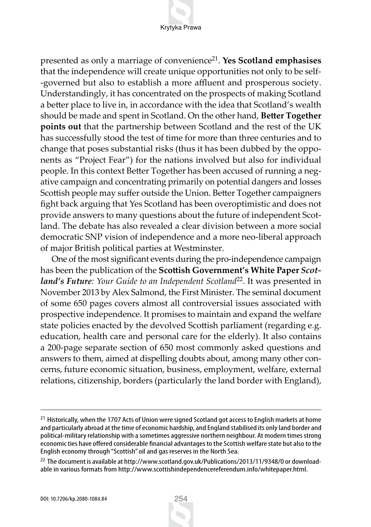presented as only a marriage of convenience21. **Yes Scotland emphasises** that the independence will create unique opportunities not only to be self- -governed but also to establish a more affluent and prosperous society. Understandingly, it has concentrated on the prospects of making Scotland a better place to live in, in accordance with the idea that Scotland's wealth should be made and spent in Scotland. On the other hand, **Better Together points out** that the partnership between Scotland and the rest of the UK has successfully stood the test of time for more than three centuries and to change that poses substantial risks (thus it has been dubbed by the opponents as "Project Fear") for the nations involved but also for individual people. In this context Better Together has been accused of running a negative campaign and concentrating primarily on potential dangers and losses Scottish people may suffer outside the Union. Better Together campaigners fight back arguing that Yes Scotland has been overoptimistic and does not provide answers to many questions about the future of independent Scotland. The debate has also revealed a clear division between a more social democratic SNP vision of independence and a more neo-liberal approach of major British political parties at Westminster.

One of the most significant events during the pro-independence campaign has been the publication of the **Scottish Government's White Paper** *Scotland's Future: Your Guide to an Independent Scotland*22. It was presented in November 2013 by Alex Salmond, the First Minister. The seminal document of some 650 pages covers almost all controversial issues associated with prospective independence. It promises to maintain and expand the welfare state policies enacted by the devolved Scottish parliament (regarding e.g. education, health care and personal care for the elderly). It also contains a 200-page separate section of 650 most commonly asked questions and answers to them, aimed at dispelling doubts about, among many other concerns, future economic situation, business, employment, welfare, external relations, citizenship, borders (particularly the land border with England),



<sup>&</sup>lt;sup>21</sup> Historically, when the 1707 Acts of Union were signed Scotland got access to English markets at home and particularly abroad at the time of economic hardship, and England stabilised its only land border and political-military relationship with a sometimes aggressive northern neighbour. At modern times strong economic ties have offered considerable financial advantages to the Scottish welfare state but also to the English economy through "Scottish" oil and gas reserves in the North Sea.

<sup>&</sup>lt;sup>22</sup> The document is available at http://www.scotland.gov.uk/Publications/2013/11/9348/0 or downloadable in various formats from http://www.scottishindependencereferendum.info/whitepaper.html.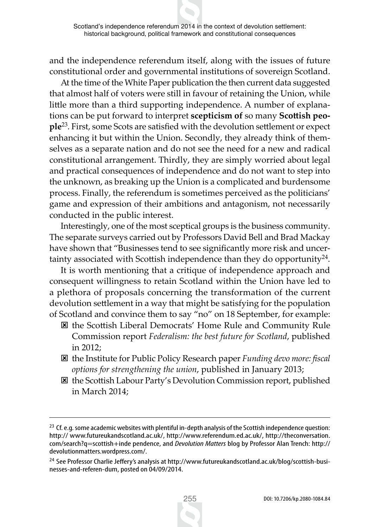and the independence referendum itself, along with the issues of future constitutional order and governmental institutions of sovereign Scotland.

At the time of the White Paper publication the then current data suggested that almost half of voters were still in favour of retaining the Union, while little more than a third supporting independence. A number of explanations can be put forward to interpret **scepticism of** so many **Scottish people**23. First, some Scots are satisfied with the devolution settlement or expect enhancing it but within the Union. Secondly, they already think of themselves as a separate nation and do not see the need for a new and radical constitutional arrangement. Thirdly, they are simply worried about legal and practical consequences of independence and do not want to step into the unknown, as breaking up the Union is a complicated and burdensome process. Finally, the referendum is sometimes perceived as the politicians' game and expression of their ambitions and antagonism, not necessarily conducted in the public interest.

Interestingly, one of the most sceptical groups is the business community. The separate surveys carried out by Professors David Bell and Brad Mackay have shown that "Businesses tend to see significantly more risk and uncertainty associated with Scottish independence than they do opportunity $24$ .

It is worth mentioning that a critique of independence approach and consequent willingness to retain Scotland within the Union have led to a plethora of proposals concerning the transformation of the current devolution settlement in a way that might be satisfying for the population of Scotland and convince them to say "no" on 18 September, for example:

- : the Scottish Liberal Democrats' Home Rule and Community Rule Commission report *Federalism: the best future for Scotland*, published in 2012;
- : the Institute for Public Policy Research paper *Funding devo more: fiscal options for strengthening the union*, published in January 2013;
- : the Scottish Labour Party's Devolution Commission report, published in March 2014;

<sup>&</sup>lt;sup>23</sup> Cf. e.g. some academic websites with plentiful in-depth analysis of the Scottish independence question: http:// www.futureukandscotland.ac.uk/, http://www.referendum.ed.ac.uk/, http://theconversation. com/search?q=scottish+inde pendence, and *Devolution Matters* blog by Professor Alan Trench: http:// devolutionmatters.wordpress.com/.

<sup>&</sup>lt;sup>24</sup> See Professor Charlie Jeffery's analysis at http://www.futureukandscotland.ac.uk/blog/scottish-businesses-and-referen-dum, posted on 04/09/2014.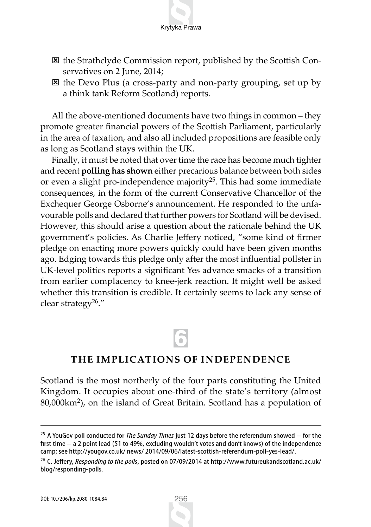

- $\boxtimes$  the Strathclyde Commission report, published by the Scottish Conservatives on 2 June, 2014;
- : the Devo Plus (a cross-party and non-party grouping, set up by a think tank Reform Scotland) reports.

All the above-mentioned documents have two things in common – they promote greater financial powers of the Scottish Parliament, particularly in the area of taxation, and also all included propositions are feasible only as long as Scotland stays within the UK.

Finally, it must be noted that over time the race has become much tighter and recent **polling has shown** either precarious balance between both sides or even a slight pro-independence majority<sup>25</sup>. This had some immediate consequences, in the form of the current Conservative Chancellor of the Exchequer George Osborne's announcement. He responded to the unfavourable polls and declared that further powers for Scotland will be devised. However, this should arise a question about the rationale behind the UK government's policies. As Charlie Jeffery noticed, "some kind of firmer pledge on enacting more powers quickly could have been given months ago. Edging towards this pledge only after the most influential pollster in UK-level politics reports a significant Yes advance smacks of a transition from earlier complacency to knee-jerk reaction. It might well be asked whether this transition is credible. It certainly seems to lack any sense of clear strategy26."

# 6

### **THE IMPLICATIONS OF INDEPENDENCE**

Scotland is the most northerly of the four parts constituting the United Kingdom. It occupies about one-third of the state's territory (almost 80,000km2), on the island of Great Britain. Scotland has a population of

<sup>25</sup> A YouGov poll conducted for *The Sunday Times* just 12 days before the referendum showed – for the first time – a 2 point lead (51 to 49%, excluding wouldn't votes and don't knows) of the independence camp; see http://yougov.co.uk/ news/ 2014/09/06/latest-scottish-referendum-poll-yes-lead/.

<sup>26</sup> C. Jeffery, *Responding to the polls*, posted on 07/09/2014 at http://www.futureukandscotland.ac.uk/ blog/responding-polls.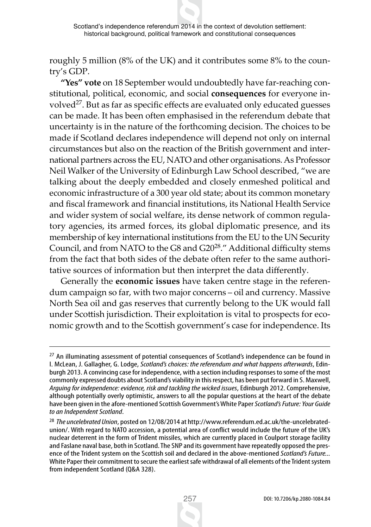roughly 5 million (8% of the UK) and it contributes some 8% to the country's GDP.

**"Yes" vote** on 18 September would undoubtedly have far-reaching constitutional, political, economic, and social **consequences** for everyone involved27. But as far as specific effects are evaluated only educated guesses can be made. It has been often emphasised in the referendum debate that uncertainty is in the nature of the forthcoming decision. The choices to be made if Scotland declares independence will depend not only on internal circumstances but also on the reaction of the British government and international partners across the EU, NATO and other organisations. As Professor Neil Walker of the University of Edinburgh Law School described, "we are talking about the deeply embedded and closely enmeshed political and economic infrastructure of a 300 year old state; about its common monetary and fiscal framework and financial institutions, its National Health Service and wider system of social welfare, its dense network of common regulatory agencies, its armed forces, its global diplomatic presence, and its membership of key international institutions from the EU to the UN Security Council, and from NATO to the G8 and G2028." Additional difficulty stems from the fact that both sides of the debate often refer to the same authoritative sources of information but then interpret the data differently.

Generally the **economic issues** have taken centre stage in the referendum campaign so far, with two major concerns – oil and currency. Massive North Sea oil and gas reserves that currently belong to the UK would fall under Scottish jurisdiction. Their exploitation is vital to prospects for economic growth and to the Scottish government's case for independence. Its



<sup>&</sup>lt;sup>27</sup> An illuminating assessment of potential consequences of Scotland's independence can be found in I. McLean, J. Gallagher, G. Lodge, *Scotland's choices: the referendum and what happens afterwards*, Edinburgh 2013. A convincing case for independence, with a section including responses to some of the most commonly expressed doubts about Scotland's viability in this respect, has been put forward in S. Maxwell, *Arguing for independence: evidence, risk and tackling the wicked issues*, Edinburgh 2012. Comprehensive, although potentially overly optimistic, answers to all the popular questions at the heart of the debate have been given in the afore-mentioned Scottish Government's White Paper *Scotland's Future: Your Guide to an Independent Scotland*.

<sup>28</sup> *The uncelebrated Union*, posted on 12/08/2014 at http://www.referendum.ed.ac.uk/the-uncelebratedunion/. With regard to NATO accession, a potential area of conflict would include the future of the UK's nuclear deterrent in the form of Trident missiles, which are currently placed in Coulport storage facility and Faslane naval base, both in Scotland. The SNP and its government have repeatedly opposed the presence of the Trident system on the Scottish soil and declared in the above-mentioned *Scotland's Future...*  White Paper their commitment to secure the earliest safe withdrawal of all elements of the Trident system from independent Scotland (Q&A 328).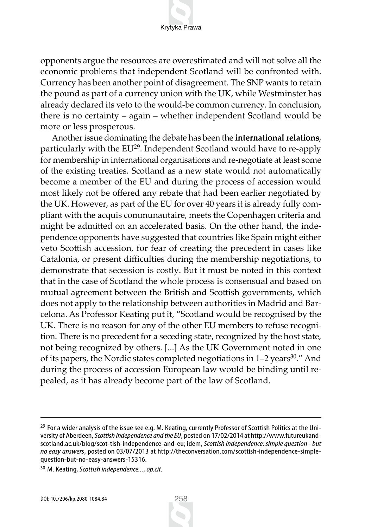opponents argue the resources are overestimated and will not solve all the economic problems that independent Scotland will be confronted with. Currency has been another point of disagreement. The SNP wants to retain the pound as part of a currency union with the UK, while Westminster has already declared its veto to the would-be common currency. In conclusion, there is no certainty – again – whether independent Scotland would be more or less prosperous.

Another issue dominating the debate has been the **international relations**, particularly with the EU<sup>29</sup>. Independent Scotland would have to re-apply for membership in international organisations and re-negotiate at least some of the existing treaties. Scotland as a new state would not automatically become a member of the EU and during the process of accession would most likely not be offered any rebate that had been earlier negotiated by the UK. However, as part of the EU for over 40 years it is already fully compliant with the acquis communautaire, meets the Copenhagen criteria and might be admitted on an accelerated basis. On the other hand, the independence opponents have suggested that countries like Spain might either veto Scottish accession, for fear of creating the precedent in cases like Catalonia, or present difficulties during the membership negotiations, to demonstrate that secession is costly. But it must be noted in this context that in the case of Scotland the whole process is consensual and based on mutual agreement between the British and Scottish governments, which does not apply to the relationship between authorities in Madrid and Barcelona. As Professor Keating put it, "Scotland would be recognised by the UK. There is no reason for any of the other EU members to refuse recognition. There is no precedent for a seceding state, recognized by the host state, not being recognized by others. [...] As the UK Government noted in one of its papers, the Nordic states completed negotiations in  $1-2$  years<sup>30</sup>." And during the process of accession European law would be binding until repealed, as it has already become part of the law of Scotland.



<sup>&</sup>lt;sup>29</sup> For a wider analysis of the issue see e.g. M. Keating, currently Professor of Scottish Politics at the University of Aberdeen, *Scottish independence and the EU*, posted on 17/02/2014 at http://www.futureukandscotland.ac.uk/blog/scot-tish-independence-and-eu; idem, *Scottish independence: simple question - but no easy answers*, posted on 03/07/2013 at http://theconversation.com/scottish-independence-simplequestion-but-no-easy-answers-15316.

<sup>30</sup> M. Keating, *Scottish independence...*, *op.cit.*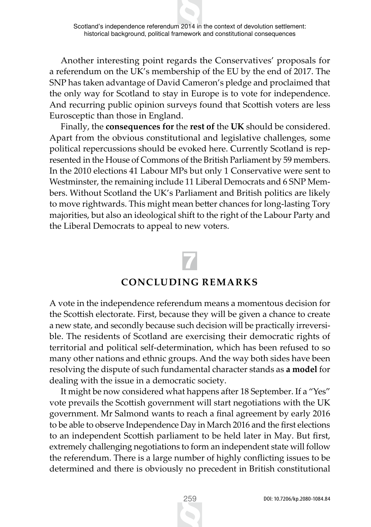Another interesting point regards the Conservatives' proposals for a referendum on the UK's membership of the EU by the end of 2017. The SNP has taken advantage of David Cameron's pledge and proclaimed that the only way for Scotland to stay in Europe is to vote for independence. And recurring public opinion surveys found that Scottish voters are less Eurosceptic than those in England.

Finally, the **consequences for** the **rest of** the **UK** should be considered. Apart from the obvious constitutional and legislative challenges, some political repercussions should be evoked here. Currently Scotland is represented in the House of Commons of the British Parliament by 59 members. In the 2010 elections 41 Labour MPs but only 1 Conservative were sent to Westminster, the remaining include 11 Liberal Democrats and 6 SNP Members. Without Scotland the UK's Parliament and British politics are likely to move rightwards. This might mean better chances for long-lasting Tory majorities, but also an ideological shift to the right of the Labour Party and the Liberal Democrats to appeal to new voters.

# 7

#### **CONCLUDING REMARKS**

A vote in the independence referendum means a momentous decision for the Scottish electorate. First, because they will be given a chance to create a new state, and secondly because such decision will be practically irreversible. The residents of Scotland are exercising their democratic rights of territorial and political self-determination, which has been refused to so many other nations and ethnic groups. And the way both sides have been resolving the dispute of such fundamental character stands as **a model** for dealing with the issue in a democratic society.

It might be now considered what happens after 18 September. If a "Yes" vote prevails the Scottish government will start negotiations with the UK government. Mr Salmond wants to reach a final agreement by early 2016 to be able to observe Independence Day in March 2016 and the first elections to an independent Scottish parliament to be held later in May. But first, extremely challenging negotiations to form an independent state will follow the referendum. There is a large number of highly conflicting issues to be determined and there is obviously no precedent in British constitutional

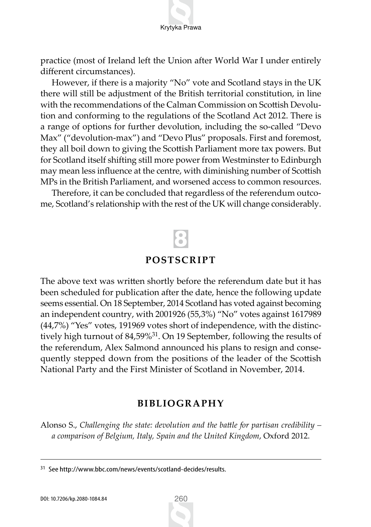Krytyka Prawa

practice (most of Ireland left the Union after World War I under entirely different circumstances).

However, if there is a majority "No" vote and Scotland stays in the UK there will still be adjustment of the British territorial constitution, in line with the recommendations of the Calman Commission on Scottish Devolution and conforming to the regulations of the Scotland Act 2012. There is a range of options for further devolution, including the so-called "Devo Max" ("devolution-max") and "Devo Plus" proposals. First and foremost, they all boil down to giving the Scottish Parliament more tax powers. But for Scotland itself shifting still more power from Westminster to Edinburgh may mean less influence at the centre, with diminishing number of Scottish MPs in the British Parliament, and worsened access to common resources.

Therefore, it can be concluded that regardless of the referendum outcome, Scotland's relationship with the rest of the UK will change considerably.

# 8

#### **POSTSCRIPT**

The above text was written shortly before the referendum date but it has been scheduled for publication after the date, hence the following update seems essential. On 18 September, 2014 Scotland has voted against becoming an independent country, with 2001926 (55,3%) "No" votes against 1617989 (44,7%) "Yes" votes, 191969 votes short of independence, with the distinctively high turnout of 84,59%31. On 19 September, following the results of the referendum, Alex Salmond announced his plans to resign and consequently stepped down from the positions of the leader of the Scottish National Party and the First Minister of Scotland in November, 2014.

#### **BIBLIOGRAPHY**

Alonso S., *Challenging the state: devolution and the battle for partisan credibility – a comparison of Belgium, Italy, Spain and the United Kingdom*, Oxford 2012.

<sup>31</sup> See http://www.bbc.com/news/events/scotland-decides/results.